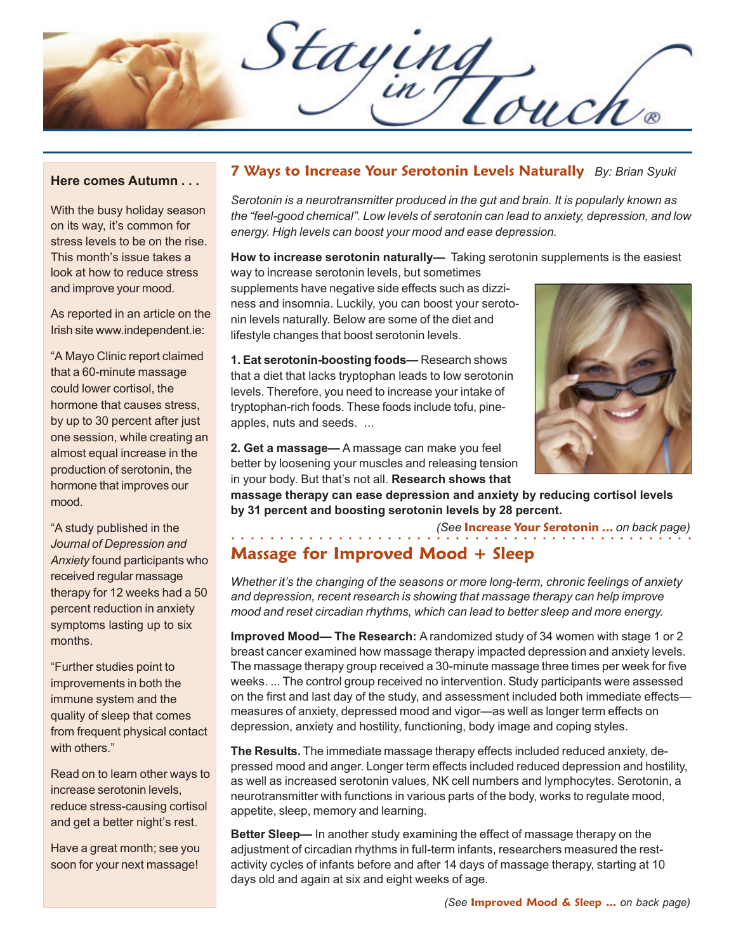Staying

#### **Here comes Autumn . . .**

With the busy holiday season on its way, it's common for stress levels to be on the rise. This month's issue takes a look at how to reduce stress and improve your mood.

As reported in an article on the Irish site www.independent.ie:

"A Mayo Clinic report claimed that a 60-minute massage could lower cortisol, the hormone that causes stress, by up to 30 percent after just one session, while creating an almost equal increase in the production of serotonin, the hormone that improves our mood.

"A study published in the *Journal of Depression and Anxiety* found participants who received regular massage therapy for 12 weeks had a 50 percent reduction in anxiety symptoms lasting up to six months.

"Further studies point to improvements in both the immune system and the quality of sleep that comes from frequent physical contact with others."

Read on to learn other ways to increase serotonin levels, reduce stress-causing cortisol and get a better night's rest.

Have a great month; see you soon for your next massage!

#### **7 Ways to Increase Your Serotonin Levels Naturally** *By: Brian Syuki*

*Serotonin is a neurotransmitter produced in the gut and brain. It is popularly known as the "feel-good chemical". Low levels of serotonin can lead to anxiety, depression, and low energy. High levels can boost your mood and ease depression.*

**How to increase serotonin naturally—** Taking serotonin supplements is the easiest way to increase serotonin levels, but sometimes

supplements have negative side effects such as dizziness and insomnia. Luckily, you can boost your serotonin levels naturally. Below are some of the diet and lifestyle changes that boost serotonin levels.

**1. Eat serotonin-boosting foods—** Research shows that a diet that lacks tryptophan leads to low serotonin levels. Therefore, you need to increase your intake of tryptophan-rich foods. These foods include tofu, pineapples, nuts and seeds. ...



**2. Get a massage—** A massage can make you feel better by loosening your muscles and releasing tension in your body. But that's not all. **Research shows that**

**massage therapy can ease depression and anxiety by reducing cortisol levels by 31 percent and boosting serotonin levels by 28 percent.**

○○○○○○○○○○○○○○○○○○ ○○○○○○○○○○○○○○○○○○○○○○○○○○○○○○

*(See* **Increase Your Serotonin ...** *on back page)*

## **Massage for Improved Mood + Sleep**

*Whether it's the changing of the seasons or more long-term, chronic feelings of anxiety and depression, recent research is showing that massage therapy can help improve mood and reset circadian rhythms, which can lead to better sleep and more energy.*

**Improved Mood— The Research:** A randomized study of 34 women with stage 1 or 2 breast cancer examined how massage therapy impacted depression and anxiety levels. The massage therapy group received a 30-minute massage three times per week for five weeks. ... The control group received no intervention. Study participants were assessed on the first and last day of the study, and assessment included both immediate effects measures of anxiety, depressed mood and vigor—as well as longer term effects on depression, anxiety and hostility, functioning, body image and coping styles.

**The Results.** The immediate massage therapy effects included reduced anxiety, depressed mood and anger. Longer term effects included reduced depression and hostility, as well as increased serotonin values, NK cell numbers and lymphocytes. Serotonin, a neurotransmitter with functions in various parts of the body, works to regulate mood, appetite, sleep, memory and learning.

**Better Sleep—** In another study examining the effect of massage therapy on the adjustment of circadian rhythms in full-term infants, researchers measured the restactivity cycles of infants before and after 14 days of massage therapy, starting at 10 days old and again at six and eight weeks of age.